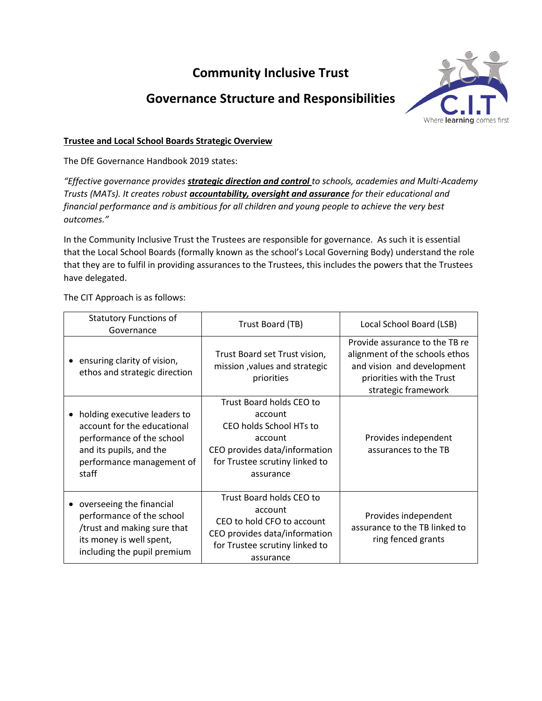# **Community Inclusive Trust**

## **Governance Structure and Responsibilities**



## **Trustee and Local School Boards Strategic Overview**

The DfE Governance Handbook 2019 states:

*"Effective governance provides strategic direction and control to schools, academies and Multi-Academy Trusts (MATs). It creates robust accountability, oversight and assurance for their educational and financial performance and is ambitious for all children and young people to achieve the very best outcomes."*

In the Community Inclusive Trust the Trustees are responsible for governance. As such it is essential that the Local School Boards (formally known as the school's Local Governing Body) understand the role that they are to fulfil in providing assurances to the Trustees, this includes the powers that the Trustees have delegated.

The CIT Approach is as follows:

| <b>Statutory Functions of</b><br>Governance                                                                                                               | Trust Board (TB)                                                                                                                                          | Local School Board (LSB)                                                                                                                           |
|-----------------------------------------------------------------------------------------------------------------------------------------------------------|-----------------------------------------------------------------------------------------------------------------------------------------------------------|----------------------------------------------------------------------------------------------------------------------------------------------------|
| ensuring clarity of vision,<br>ethos and strategic direction                                                                                              | Trust Board set Trust vision,<br>mission, values and strategic<br>priorities                                                                              | Provide assurance to the TB re<br>alignment of the schools ethos<br>and vision and development<br>priorities with the Trust<br>strategic framework |
| holding executive leaders to<br>account for the educational<br>performance of the school<br>and its pupils, and the<br>performance management of<br>staff | Trust Board holds CEO to<br>account<br>CEO holds School HTs to<br>account<br>CEO provides data/information<br>for Trustee scrutiny linked to<br>assurance | Provides independent<br>assurances to the TB                                                                                                       |
| overseeing the financial<br>performance of the school<br>/trust and making sure that<br>its money is well spent,<br>including the pupil premium           | Trust Board holds CEO to<br>account<br>CEO to hold CFO to account<br>CEO provides data/information<br>for Trustee scrutiny linked to<br>assurance         | Provides independent<br>assurance to the TB linked to<br>ring fenced grants                                                                        |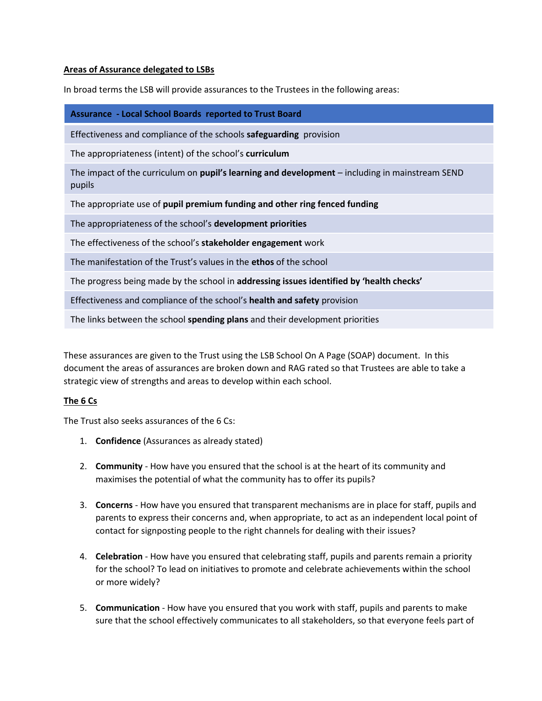#### **Areas of Assurance delegated to LSBs**

In broad terms the LSB will provide assurances to the Trustees in the following areas:

**Assurance - Local School Boards reported to Trust Board**

Effectiveness and compliance of the schools **safeguarding** provision

The appropriateness (intent) of the school's **curriculum**

The impact of the curriculum on **pupil's learning and development** – including in mainstream SEND pupils

The appropriate use of **pupil premium funding and other ring fenced funding**

The appropriateness of the school's **development priorities**

The effectiveness of the school's **stakeholder engagement** work

The manifestation of the Trust's values in the **ethos** of the school

The progress being made by the school in **addressing issues identified by 'health checks'**

Effectiveness and compliance of the school's **health and safety** provision

The links between the school **spending plans** and their development priorities

These assurances are given to the Trust using the LSB School On A Page (SOAP) document. In this document the areas of assurances are broken down and RAG rated so that Trustees are able to take a strategic view of strengths and areas to develop within each school.

#### **The 6 Cs**

The Trust also seeks assurances of the 6 Cs:

- 1. **Confidence** (Assurances as already stated)
- 2. **Community** How have you ensured that the school is at the heart of its community and maximises the potential of what the community has to offer its pupils?
- 3. **Concerns** How have you ensured that transparent mechanisms are in place for staff, pupils and parents to express their concerns and, when appropriate, to act as an independent local point of contact for signposting people to the right channels for dealing with their issues?
- 4. **Celebration** How have you ensured that celebrating staff, pupils and parents remain a priority for the school? To lead on initiatives to promote and celebrate achievements within the school or more widely?
- 5. **Communication** How have you ensured that you work with staff, pupils and parents to make sure that the school effectively communicates to all stakeholders, so that everyone feels part of